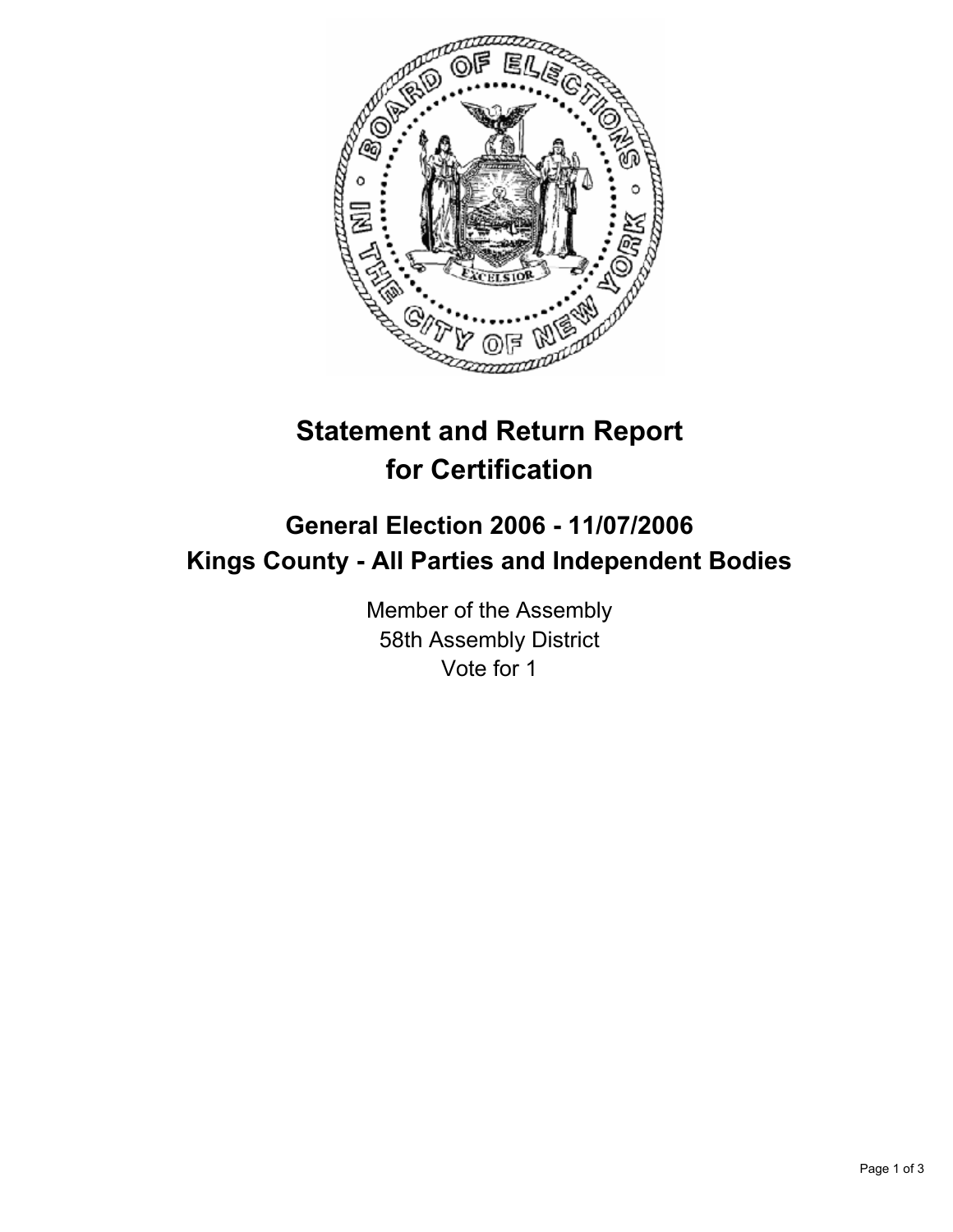

# **Statement and Return Report for Certification**

## **General Election 2006 - 11/07/2006 Kings County - All Parties and Independent Bodies**

Member of the Assembly 58th Assembly District Vote for 1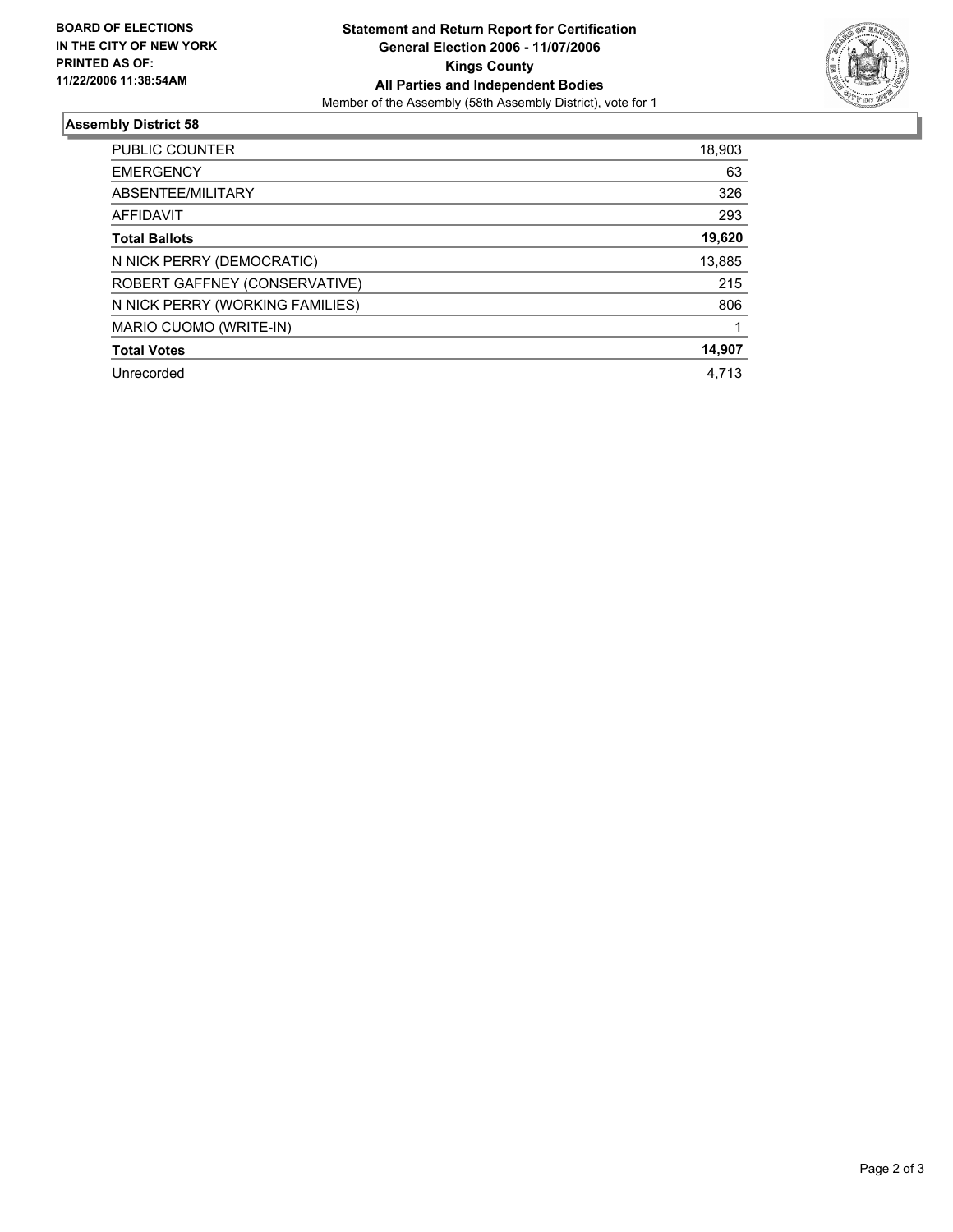

### **Assembly District 58**

| PUBLIC COUNTER                  | 18,903 |
|---------------------------------|--------|
| <b>EMERGENCY</b>                | 63     |
| ABSENTEE/MILITARY               | 326    |
| AFFIDAVIT                       | 293    |
| <b>Total Ballots</b>            | 19,620 |
| N NICK PERRY (DEMOCRATIC)       | 13,885 |
| ROBERT GAFFNEY (CONSERVATIVE)   | 215    |
| N NICK PERRY (WORKING FAMILIES) | 806    |
| MARIO CUOMO (WRITE-IN)          |        |
| <b>Total Votes</b>              | 14,907 |
| Unrecorded                      | 4,713  |